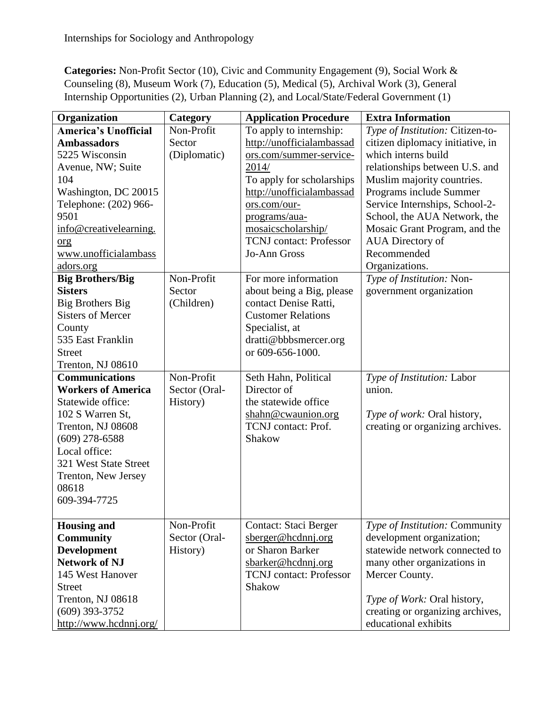**Categories:** Non-Profit Sector (10), Civic and Community Engagement (9), Social Work & Counseling (8), Museum Work (7), Education (5), Medical (5), Archival Work (3), General Internship Opportunities (2), Urban Planning (2), and Local/State/Federal Government (1)

| Organization                | Category      | <b>Application Procedure</b>   | <b>Extra Information</b>         |
|-----------------------------|---------------|--------------------------------|----------------------------------|
| <b>America's Unofficial</b> | Non-Profit    | To apply to internship:        | Type of Institution: Citizen-to- |
| <b>Ambassadors</b>          | Sector        | http://unofficialambassad      | citizen diplomacy initiative, in |
| 5225 Wisconsin              | (Diplomatic)  | ors.com/summer-service-        | which interns build              |
| Avenue, NW; Suite           |               | 2014/                          | relationships between U.S. and   |
| 104                         |               | To apply for scholarships      | Muslim majority countries.       |
| Washington, DC 20015        |               | http://unofficialambassad      | Programs include Summer          |
| Telephone: (202) 966-       |               | ors.com/our-                   | Service Internships, School-2-   |
| 9501                        |               | programs/aua-                  | School, the AUA Network, the     |
| info@creativelearning.      |               | mosaicscholarship/             | Mosaic Grant Program, and the    |
| org                         |               | <b>TCNJ</b> contact: Professor | <b>AUA</b> Directory of          |
| www.unofficialambass        |               | Jo-Ann Gross                   | Recommended                      |
| adors.org                   |               |                                | Organizations.                   |
| <b>Big Brothers/Big</b>     | Non-Profit    | For more information           | Type of Institution: Non-        |
| <b>Sisters</b>              | Sector        | about being a Big, please      | government organization          |
| <b>Big Brothers Big</b>     | (Children)    | contact Denise Ratti,          |                                  |
| <b>Sisters of Mercer</b>    |               | <b>Customer Relations</b>      |                                  |
| County                      |               | Specialist, at                 |                                  |
| 535 East Franklin           |               | dratti@bbbsmercer.org          |                                  |
| <b>Street</b>               |               | or 609-656-1000.               |                                  |
| Trenton, NJ 08610           |               |                                |                                  |
| <b>Communications</b>       | Non-Profit    | Seth Hahn, Political           | Type of Institution: Labor       |
| <b>Workers of America</b>   | Sector (Oral- | Director of                    | union.                           |
| Statewide office:           | History)      | the statewide office           |                                  |
| 102 S Warren St,            |               | shahn@cwaunion.org             | Type of work: Oral history,      |
| Trenton, NJ 08608           |               | TCNJ contact: Prof.            | creating or organizing archives. |
| $(609)$ 278-6588            |               | Shakow                         |                                  |
| Local office:               |               |                                |                                  |
| 321 West State Street       |               |                                |                                  |
| Trenton, New Jersey         |               |                                |                                  |
| 08618                       |               |                                |                                  |
| 609-394-7725                |               |                                |                                  |
|                             |               |                                |                                  |
| <b>Housing and</b>          | Non-Profit    | Contact: Staci Berger          | Type of Institution: Community   |
| <b>Community</b>            | Sector (Oral- | sberger@hcdnnj.org             | development organization;        |
| <b>Development</b>          | History)      | or Sharon Barker               | statewide network connected to   |
| <b>Network of NJ</b>        |               | sbarker@hcdnnj.org             | many other organizations in      |
| 145 West Hanover            |               | <b>TCNJ</b> contact: Professor | Mercer County.                   |
| <b>Street</b>               |               | Shakow                         |                                  |
| Trenton, NJ 08618           |               |                                | Type of Work: Oral history,      |
| $(609)$ 393-3752            |               |                                | creating or organizing archives, |
| http://www.hcdnnj.org/      |               |                                | educational exhibits             |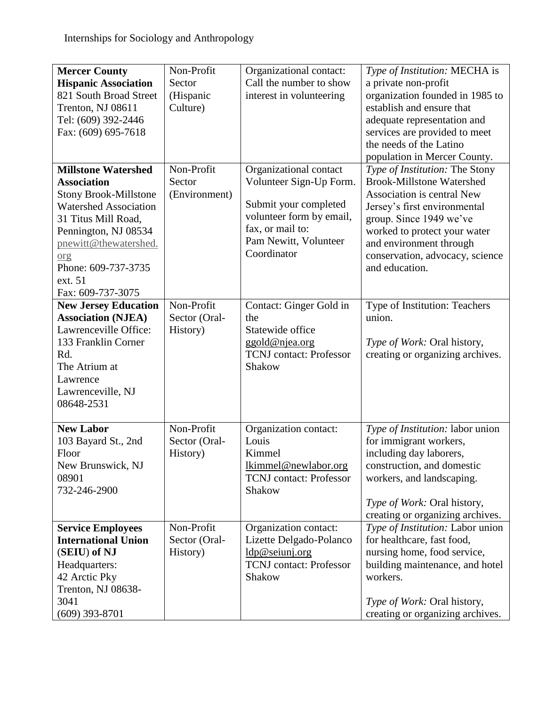| <b>Mercer County</b>         | Non-Profit    | Organizational contact:        | Type of Institution: MECHA is    |
|------------------------------|---------------|--------------------------------|----------------------------------|
| <b>Hispanic Association</b>  | Sector        | Call the number to show        | a private non-profit             |
| 821 South Broad Street       | (Hispanic     | interest in volunteering       | organization founded in 1985 to  |
| Trenton, NJ 08611            | Culture)      |                                | establish and ensure that        |
| Tel: (609) 392-2446          |               |                                | adequate representation and      |
| Fax: (609) 695-7618          |               |                                | services are provided to meet    |
|                              |               |                                | the needs of the Latino          |
|                              |               |                                | population in Mercer County.     |
| <b>Millstone Watershed</b>   | Non-Profit    | Organizational contact         | Type of Institution: The Stony   |
| <b>Association</b>           | Sector        | Volunteer Sign-Up Form.        | <b>Brook-Millstone Watershed</b> |
| <b>Stony Brook-Millstone</b> | (Environment) |                                | Association is central New       |
| <b>Watershed Association</b> |               | Submit your completed          | Jersey's first environmental     |
| 31 Titus Mill Road,          |               | volunteer form by email,       | group. Since 1949 we've          |
| Pennington, NJ 08534         |               | fax, or mail to:               | worked to protect your water     |
| pnewitt@thewatershed.        |               | Pam Newitt, Volunteer          | and environment through          |
| org                          |               | Coordinator                    | conservation, advocacy, science  |
| Phone: 609-737-3735          |               |                                | and education.                   |
| ext. 51                      |               |                                |                                  |
| Fax: 609-737-3075            |               |                                |                                  |
| <b>New Jersey Education</b>  | Non-Profit    | Contact: Ginger Gold in        | Type of Institution: Teachers    |
| <b>Association (NJEA)</b>    | Sector (Oral- | the                            | union.                           |
| Lawrenceville Office:        | History)      | Statewide office               |                                  |
| 133 Franklin Corner          |               | ggold@njea.org                 | Type of Work: Oral history,      |
| Rd.                          |               | <b>TCNJ</b> contact: Professor | creating or organizing archives. |
| The Atrium at                |               | Shakow                         |                                  |
| Lawrence                     |               |                                |                                  |
| Lawrenceville, NJ            |               |                                |                                  |
| 08648-2531                   |               |                                |                                  |
|                              |               |                                |                                  |
| <b>New Labor</b>             | Non-Profit    | Organization contact:          | Type of Institution: labor union |
| 103 Bayard St., 2nd          | Sector (Oral- | Louis                          | for immigrant workers,           |
| Floor                        | History)      | Kimmel                         | including day laborers,          |
| New Brunswick, NJ            |               | lkimmel@newlabor.org           | construction, and domestic       |
| 08901                        |               | <b>TCNJ</b> contact: Professor | workers, and landscaping.        |
| 732-246-2900                 |               | Shakow                         |                                  |
|                              |               |                                | Type of Work: Oral history,      |
|                              |               |                                | creating or organizing archives. |
| <b>Service Employees</b>     | Non-Profit    | Organization contact:          | Type of Institution: Labor union |
| <b>International Union</b>   | Sector (Oral- | Lizette Delgado-Polanco        | for healthcare, fast food,       |
| (SEIU) of NJ                 | History)      | ldp@seiunj.org                 | nursing home, food service,      |
| Headquarters:                |               | <b>TCNJ</b> contact: Professor | building maintenance, and hotel  |
| 42 Arctic Pky                |               | Shakow                         | workers.                         |
| Trenton, NJ 08638-           |               |                                |                                  |
| 3041                         |               |                                | Type of Work: Oral history,      |
| $(609)$ 393-8701             |               |                                | creating or organizing archives. |
|                              |               |                                |                                  |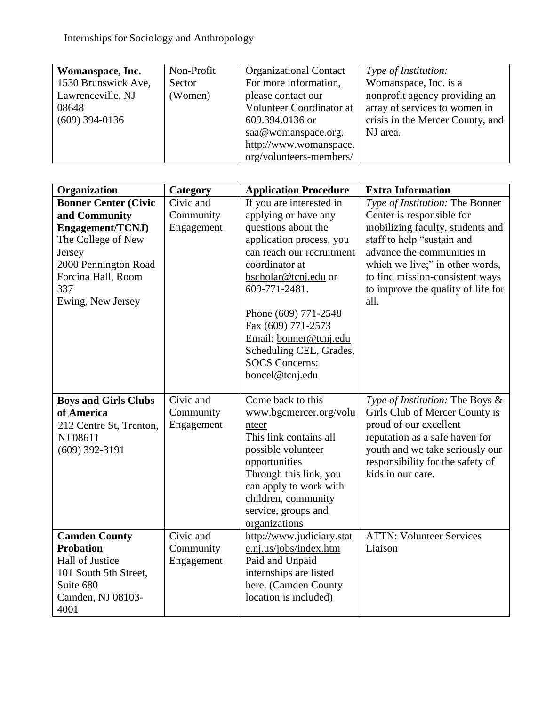| Womanspace, Inc.    | Non-Profit | <b>Organizational Contact</b> | Type of Institution:             |
|---------------------|------------|-------------------------------|----------------------------------|
| 1530 Brunswick Ave, | Sector     | For more information,         | Womanspace, Inc. is a            |
| Lawrenceville, NJ   | (Women)    | please contact our            | nonprofit agency providing an    |
| 08648               |            | Volunteer Coordinator at      | array of services to women in    |
| $(609)$ 394-0136    |            | 609.394.0136 or               | crisis in the Mercer County, and |
|                     |            | saa@womanspace.org.           | NJ area.                         |
|                     |            | http://www.womanspace.        |                                  |
|                     |            | org/volunteers-members/       |                                  |

| Organization                | Category   | <b>Application Procedure</b> | <b>Extra Information</b>           |
|-----------------------------|------------|------------------------------|------------------------------------|
| <b>Bonner Center (Civic</b> | Civic and  | If you are interested in     | Type of Institution: The Bonner    |
| and Community               | Community  | applying or have any         | Center is responsible for          |
| Engagement/TCNJ)            | Engagement | questions about the          | mobilizing faculty, students and   |
| The College of New          |            | application process, you     | staff to help "sustain and         |
| Jersey                      |            | can reach our recruitment    | advance the communities in         |
| 2000 Pennington Road        |            | coordinator at               | which we live;" in other words,    |
| Forcina Hall, Room          |            | bscholar@tcnj.edu or         | to find mission-consistent ways    |
| 337                         |            | 609-771-2481.                | to improve the quality of life for |
| Ewing, New Jersey           |            |                              | all.                               |
|                             |            | Phone (609) 771-2548         |                                    |
|                             |            | Fax (609) 771-2573           |                                    |
|                             |            | Email: bonner@tcnj.edu       |                                    |
|                             |            | Scheduling CEL, Grades,      |                                    |
|                             |            | <b>SOCS</b> Concerns:        |                                    |
|                             |            | boncel@tcnj.edu              |                                    |
| <b>Boys and Girls Clubs</b> | Civic and  | Come back to this            | Type of Institution: The Boys &    |
| of America                  | Community  | www.bgcmercer.org/volu       | Girls Club of Mercer County is     |
| 212 Centre St, Trenton,     | Engagement | nteer                        | proud of our excellent             |
| NJ 08611                    |            | This link contains all       | reputation as a safe haven for     |
| $(609)$ 392-3191            |            | possible volunteer           | youth and we take seriously our    |
|                             |            | opportunities                | responsibility for the safety of   |
|                             |            | Through this link, you       | kids in our care.                  |
|                             |            | can apply to work with       |                                    |
|                             |            | children, community          |                                    |
|                             |            | service, groups and          |                                    |
|                             |            | organizations                |                                    |
| <b>Camden County</b>        | Civic and  | http://www.judiciary.stat    | <b>ATTN: Volunteer Services</b>    |
| <b>Probation</b>            | Community  | e.nj.us/jobs/index.htm       | Liaison                            |
| <b>Hall of Justice</b>      | Engagement | Paid and Unpaid              |                                    |
| 101 South 5th Street,       |            | internships are listed       |                                    |
| Suite 680                   |            | here. (Camden County         |                                    |
| Camden, NJ 08103-           |            | location is included)        |                                    |
| 4001                        |            |                              |                                    |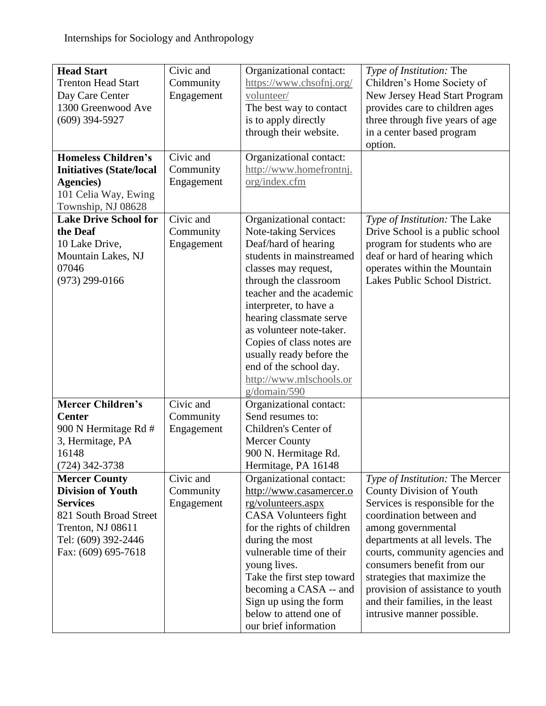| <b>Head Start</b><br><b>Trenton Head Start</b><br>Day Care Center<br>1300 Greenwood Ave<br>$(609)$ 394-5927                                                      | Civic and<br>Community<br>Engagement | Organizational contact:<br>https://www.chsofnj.org/<br>volunteer/<br>The best way to contact<br>is to apply directly<br>through their website.                                                                                                                                                                                                                                                  | Type of Institution: The<br>Children's Home Society of<br>New Jersey Head Start Program<br>provides care to children ages<br>three through five years of age<br>in a center based program<br>option.                                                                                                                                                                                     |
|------------------------------------------------------------------------------------------------------------------------------------------------------------------|--------------------------------------|-------------------------------------------------------------------------------------------------------------------------------------------------------------------------------------------------------------------------------------------------------------------------------------------------------------------------------------------------------------------------------------------------|------------------------------------------------------------------------------------------------------------------------------------------------------------------------------------------------------------------------------------------------------------------------------------------------------------------------------------------------------------------------------------------|
| <b>Homeless Children's</b><br><b>Initiatives (State/local</b><br><b>Agencies</b> )<br>101 Celia Way, Ewing<br>Township, NJ 08628                                 | Civic and<br>Community<br>Engagement | Organizational contact:<br>http://www.homefrontnj.<br>org/index.cfm                                                                                                                                                                                                                                                                                                                             |                                                                                                                                                                                                                                                                                                                                                                                          |
| <b>Lake Drive School for</b><br>the Deaf<br>10 Lake Drive,<br>Mountain Lakes, NJ<br>07046<br>$(973)$ 299-0166                                                    | Civic and<br>Community<br>Engagement | Organizational contact:<br>Note-taking Services<br>Deaf/hard of hearing<br>students in mainstreamed<br>classes may request,<br>through the classroom<br>teacher and the academic<br>interpreter, to have a<br>hearing classmate serve<br>as volunteer note-taker.<br>Copies of class notes are<br>usually ready before the<br>end of the school day.<br>http://www.mlschools.or<br>g/domain/590 | Type of Institution: The Lake<br>Drive School is a public school<br>program for students who are<br>deaf or hard of hearing which<br>operates within the Mountain<br>Lakes Public School District.                                                                                                                                                                                       |
| <b>Mercer Children's</b><br><b>Center</b><br>900 N Hermitage Rd #<br>3, Hermitage, PA<br>16148<br>(724) 342-3738                                                 | Civic and<br>Community<br>Engagement | Organizational contact:<br>Send resumes to:<br>Children's Center of<br><b>Mercer County</b><br>900 N. Hermitage Rd.<br>Hermitage, PA 16148                                                                                                                                                                                                                                                      |                                                                                                                                                                                                                                                                                                                                                                                          |
| <b>Mercer County</b><br><b>Division of Youth</b><br><b>Services</b><br>821 South Broad Street<br>Trenton, NJ 08611<br>Tel: (609) 392-2446<br>Fax: (609) 695-7618 | Civic and<br>Community<br>Engagement | Organizational contact:<br>http://www.casamercer.o<br>rg/volunteers.aspx<br><b>CASA</b> Volunteers fight<br>for the rights of children<br>during the most<br>vulnerable time of their<br>young lives.<br>Take the first step toward<br>becoming a CASA -- and<br>Sign up using the form<br>below to attend one of<br>our brief information                                                      | Type of Institution: The Mercer<br>County Division of Youth<br>Services is responsible for the<br>coordination between and<br>among governmental<br>departments at all levels. The<br>courts, community agencies and<br>consumers benefit from our<br>strategies that maximize the<br>provision of assistance to youth<br>and their families, in the least<br>intrusive manner possible. |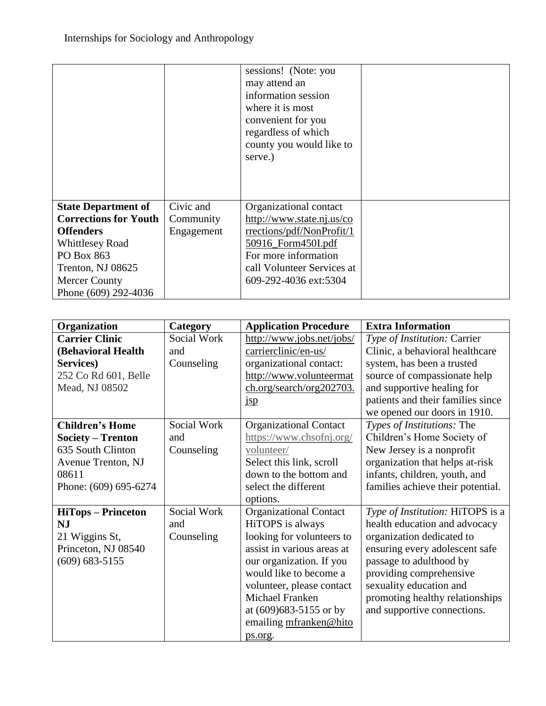|                              |            | sessions! (Note: you<br>may attend an<br>information session<br>where it is most<br>convenient for you<br>regardless of which<br>county you would like to<br>serve.) |  |
|------------------------------|------------|----------------------------------------------------------------------------------------------------------------------------------------------------------------------|--|
| <b>State Department of</b>   | Civic and  | Organizational contact                                                                                                                                               |  |
| <b>Corrections for Youth</b> | Community  | http://www.state.nj.us/co                                                                                                                                            |  |
| <b>Offenders</b>             | Engagement | rrections/pdf/NonProfit/1                                                                                                                                            |  |
| <b>Whittlesey Road</b>       |            | 50916_Form450I.pdf                                                                                                                                                   |  |
| PO Box 863                   |            | For more information                                                                                                                                                 |  |
| Trenton, NJ 08625            |            | call Volunteer Services at                                                                                                                                           |  |
| <b>Mercer County</b>         |            | 609-292-4036 ext:5304                                                                                                                                                |  |
| Phone (609) 292-4036         |            |                                                                                                                                                                      |  |

| Organization              | Category    | <b>Application Procedure</b>  | <b>Extra Information</b>          |
|---------------------------|-------------|-------------------------------|-----------------------------------|
| <b>Carrier Clinic</b>     | Social Work | http://www.jobs.net/jobs/     | Type of Institution: Carrier      |
| (Behavioral Health        | and         | carrierclinic/en-us/          | Clinic, a behavioral healthcare   |
| Services)                 | Counseling  | organizational contact:       | system, has been a trusted        |
| 252 Co Rd 601, Belle      |             | http://www.volunteermat       | source of compassionate help      |
| Mead, NJ 08502            |             | ch.org/search/org202703.      | and supportive healing for        |
|                           |             | jsp                           | patients and their families since |
|                           |             |                               | we opened our doors in 1910.      |
| <b>Children's Home</b>    | Social Work | <b>Organizational Contact</b> | Types of Institutions: The        |
| <b>Society – Trenton</b>  | and         | https://www.chsofnj.org/      | Children's Home Society of        |
| 635 South Clinton         | Counseling  | volunteer/                    | New Jersey is a nonprofit         |
| Avenue Trenton, NJ        |             | Select this link, scroll      | organization that helps at-risk   |
| 08611                     |             | down to the bottom and        | infants, children, youth, and     |
| Phone: (609) 695-6274     |             | select the different          | families achieve their potential. |
|                           |             | options.                      |                                   |
| <b>HiTops – Princeton</b> | Social Work | <b>Organizational Contact</b> | Type of Institution: HiTOPS is a  |
| <b>NJ</b>                 | and         | HiTOPS is always              | health education and advocacy     |
| 21 Wiggins St,            | Counseling  | looking for volunteers to     | organization dedicated to         |
| Princeton, NJ 08540       |             | assist in various areas at    | ensuring every adolescent safe    |
| $(609)$ 683-5155          |             | our organization. If you      | passage to adulthood by           |
|                           |             | would like to become a        | providing comprehensive           |
|                           |             | volunteer, please contact     | sexuality education and           |
|                           |             | Michael Franken               | promoting healthy relationships   |
|                           |             | at (609) 683-5155 or by       | and supportive connections.       |
|                           |             | emailing mfranken@hito        |                                   |
|                           |             | ps.org.                       |                                   |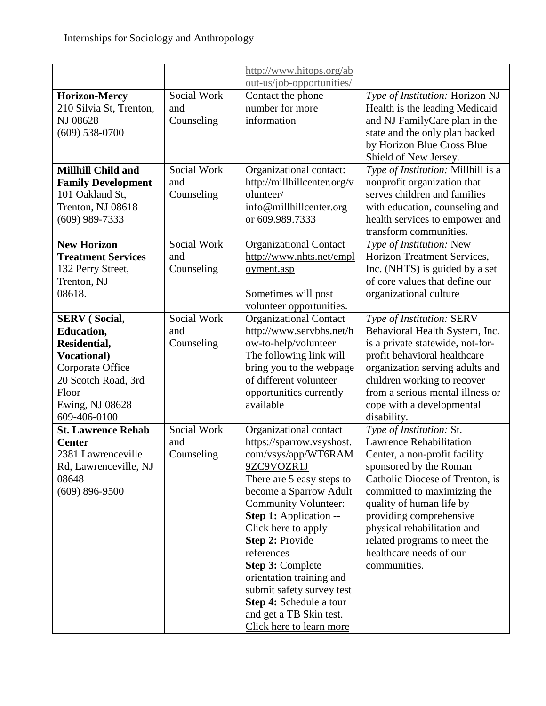|                           |             | http://www.hitops.org/ab      |                                                         |
|---------------------------|-------------|-------------------------------|---------------------------------------------------------|
|                           |             | out-us/job-opportunities/     |                                                         |
| <b>Horizon-Mercy</b>      | Social Work | Contact the phone             | Type of Institution: Horizon NJ                         |
| 210 Silvia St, Trenton,   | and         | number for more               | Health is the leading Medicaid                          |
| NJ 08628                  | Counseling  | information                   | and NJ FamilyCare plan in the                           |
| $(609)$ 538-0700          |             |                               | state and the only plan backed                          |
|                           |             |                               | by Horizon Blue Cross Blue                              |
|                           |             |                               | Shield of New Jersey.                                   |
| <b>Millhill Child and</b> | Social Work | Organizational contact:       | Type of Institution: Millhill is a                      |
| <b>Family Development</b> | and         | http://millhillcenter.org/v   | nonprofit organization that                             |
| 101 Oakland St,           | Counseling  | olunteer/                     | serves children and families                            |
| Trenton, NJ 08618         |             | info@millhillcenter.org       | with education, counseling and                          |
| $(609)$ 989-7333          |             | or 609.989.7333               | health services to empower and                          |
|                           |             |                               | transform communities.                                  |
| <b>New Horizon</b>        | Social Work | <b>Organizational Contact</b> | Type of Institution: New                                |
| <b>Treatment Services</b> | and         | http://www.nhts.net/empl      | Horizon Treatment Services,                             |
| 132 Perry Street,         | Counseling  | oyment.asp                    | Inc. (NHTS) is guided by a set                          |
| Trenton, NJ               |             |                               | of core values that define our                          |
| 08618.                    |             | Sometimes will post           | organizational culture                                  |
|                           |             | volunteer opportunities.      |                                                         |
| <b>SERV</b> (Social,      | Social Work | <b>Organizational Contact</b> | Type of Institution: SERV                               |
| <b>Education,</b>         | and         | http://www.servbhs.net/h      | Behavioral Health System, Inc.                          |
| Residential,              | Counseling  | ow-to-help/volunteer          | is a private statewide, not-for-                        |
| <b>Vocational</b> )       |             | The following link will       | profit behavioral healthcare                            |
| Corporate Office          |             | bring you to the webpage      | organization serving adults and                         |
| 20 Scotch Road, 3rd       |             | of different volunteer        | children working to recover                             |
| Floor                     |             | opportunities currently       | from a serious mental illness or                        |
| Ewing, NJ 08628           |             | available                     | cope with a developmental                               |
| 609-406-0100              |             |                               | disability.                                             |
| <b>St. Lawrence Rehab</b> | Social Work | Organizational contact        | Type of Institution: St.                                |
| <b>Center</b>             | and         | https://sparrow.vsyshost.     | <b>Lawrence Rehabilitation</b>                          |
| 2381 Lawrenceville        | Counseling  | com/vsys/app/WT6RAM           | Center, a non-profit facility                           |
| Rd, Lawrenceville, NJ     |             | 9ZC9VOZR1J                    | sponsored by the Roman                                  |
| 08648                     |             | There are 5 easy steps to     | Catholic Diocese of Trenton, is                         |
| $(609)$ 896-9500          |             | become a Sparrow Adult        | committed to maximizing the                             |
|                           |             | <b>Community Volunteer:</b>   | quality of human life by                                |
|                           |             | Step 1: Application --        | providing comprehensive                                 |
|                           |             | Click here to apply           | physical rehabilitation and                             |
|                           |             | Step 2: Provide<br>references | related programs to meet the<br>healthcare needs of our |
|                           |             | Step 3: Complete              | communities.                                            |
|                           |             | orientation training and      |                                                         |
|                           |             | submit safety survey test     |                                                         |
|                           |             | Step 4: Schedule a tour       |                                                         |
|                           |             | and get a TB Skin test.       |                                                         |
|                           |             | Click here to learn more      |                                                         |
|                           |             |                               |                                                         |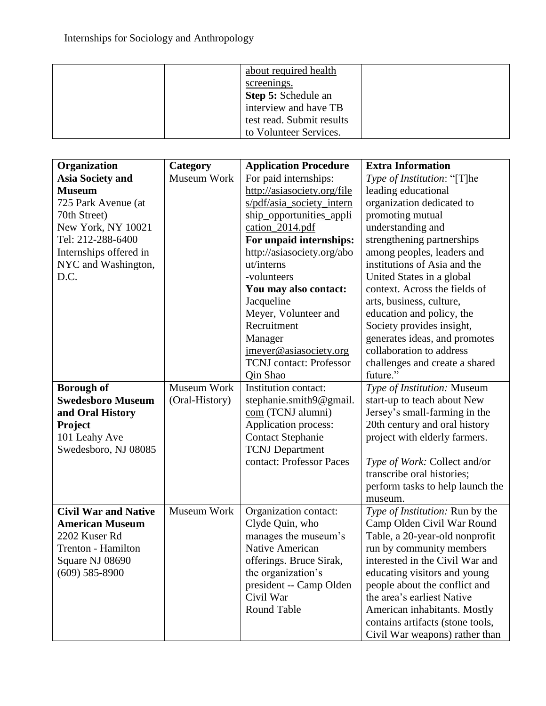| about required health     |
|---------------------------|
| screenings.               |
| Step 5: Schedule an       |
| interview and have TB     |
| test read. Submit results |
| to Volunteer Services.    |

| Organization                | Category       | <b>Application Procedure</b>   | <b>Extra Information</b>            |
|-----------------------------|----------------|--------------------------------|-------------------------------------|
| <b>Asia Society and</b>     | Museum Work    | For paid internships:          | Type of Institution: "[T]he         |
| <b>Museum</b>               |                | http://asiasociety.org/file    | leading educational                 |
| 725 Park Avenue (at         |                | s/pdf/asia_society_intern      | organization dedicated to           |
| 70th Street)                |                | ship_opportunities_appli       | promoting mutual                    |
| New York, NY 10021          |                | cation_2014.pdf                | understanding and                   |
| Tel: 212-288-6400           |                | For unpaid internships:        | strengthening partnerships          |
| Internships offered in      |                | http://asiasociety.org/abo     | among peoples, leaders and          |
| NYC and Washington,         |                | ut/interns                     | institutions of Asia and the        |
| D.C.                        |                | -volunteers                    | United States in a global           |
|                             |                | You may also contact:          | context. Across the fields of       |
|                             |                | Jacqueline                     | arts, business, culture,            |
|                             |                | Meyer, Volunteer and           | education and policy, the           |
|                             |                | Recruitment                    | Society provides insight,           |
|                             |                | Manager                        | generates ideas, and promotes       |
|                             |                | imeyer@asiasociety.org         | collaboration to address            |
|                             |                | <b>TCNJ</b> contact: Professor | challenges and create a shared      |
|                             |                | <b>Qin Shao</b>                | future."                            |
| <b>Borough of</b>           | Museum Work    | Institution contact:           | Type of Institution: Museum         |
| <b>Swedesboro Museum</b>    | (Oral-History) | stephanie.smith9@gmail.        | start-up to teach about New         |
| and Oral History            |                | com (TCNJ alumni)              | Jersey's small-farming in the       |
| <b>Project</b>              |                | Application process:           | 20th century and oral history       |
| 101 Leahy Ave               |                | <b>Contact Stephanie</b>       | project with elderly farmers.       |
| Swedesboro, NJ 08085        |                | <b>TCNJ</b> Department         |                                     |
|                             |                | contact: Professor Paces       | <i>Type of Work:</i> Collect and/or |
|                             |                |                                | transcribe oral histories;          |
|                             |                |                                | perform tasks to help launch the    |
|                             |                |                                | museum.                             |
| <b>Civil War and Native</b> | Museum Work    | Organization contact:          | Type of Institution: Run by the     |
| <b>American Museum</b>      |                | Clyde Quin, who                | Camp Olden Civil War Round          |
| 2202 Kuser Rd               |                | manages the museum's           | Table, a 20-year-old nonprofit      |
| Trenton - Hamilton          |                | Native American                | run by community members            |
| Square NJ 08690             |                | offerings. Bruce Sirak,        | interested in the Civil War and     |
| $(609)$ 585-8900            |                | the organization's             | educating visitors and young        |
|                             |                | president -- Camp Olden        | people about the conflict and       |
|                             |                | Civil War                      | the area's earliest Native          |
|                             |                | Round Table                    | American inhabitants. Mostly        |
|                             |                |                                | contains artifacts (stone tools,    |
|                             |                |                                | Civil War weapons) rather than      |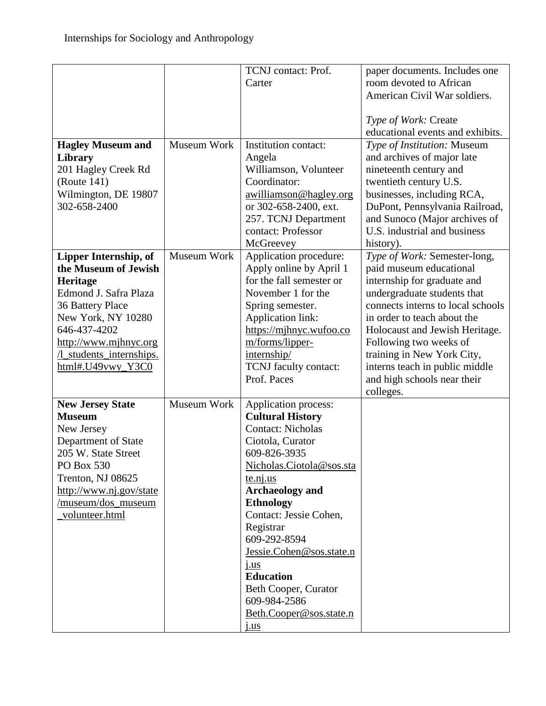| <b>Hagley Museum and</b><br>Library<br>201 Hagley Creek Rd<br>(Route 141)<br>Wilmington, DE 19807<br>302-658-2400                                                                                                             | Museum Work | TCNJ contact: Prof.<br>Carter<br>Institution contact:<br>Angela<br>Williamson, Volunteer<br>Coordinator:<br>awilliamson@hagley.org<br>or 302-658-2400, ext.<br>257. TCNJ Department<br>contact: Professor<br>McGreevey                                                                                                                                                                             | paper documents. Includes one<br>room devoted to African<br>American Civil War soldiers.<br>Type of Work: Create<br>educational events and exhibits.<br>Type of Institution: Museum<br>and archives of major late<br>nineteenth century and<br>twentieth century U.S.<br>businesses, including RCA,<br>DuPont, Pennsylvania Railroad,<br>and Sunoco (Major archives of<br>U.S. industrial and business<br>history). |
|-------------------------------------------------------------------------------------------------------------------------------------------------------------------------------------------------------------------------------|-------------|----------------------------------------------------------------------------------------------------------------------------------------------------------------------------------------------------------------------------------------------------------------------------------------------------------------------------------------------------------------------------------------------------|---------------------------------------------------------------------------------------------------------------------------------------------------------------------------------------------------------------------------------------------------------------------------------------------------------------------------------------------------------------------------------------------------------------------|
| Lipper Internship, of<br>the Museum of Jewish<br><b>Heritage</b><br>Edmond J. Safra Plaza<br>36 Battery Place<br>New York, NY 10280<br>646-437-4202<br>http://www.mjhnyc.org<br>/l_students_internships.<br>html#.U49vwy_Y3C0 | Museum Work | Application procedure:<br>Apply online by April 1<br>for the fall semester or<br>November 1 for the<br>Spring semester.<br>Application link:<br>https://mjhnyc.wufoo.co<br>m/forms/lipper-<br>internship/<br>TCNJ faculty contact:<br>Prof. Paces                                                                                                                                                  | Type of Work: Semester-long,<br>paid museum educational<br>internship for graduate and<br>undergraduate students that<br>connects interns to local schools<br>in order to teach about the<br>Holocaust and Jewish Heritage.<br>Following two weeks of<br>training in New York City,<br>interns teach in public middle<br>and high schools near their<br>colleges.                                                   |
| <b>New Jersey State</b><br><b>Museum</b><br>New Jersey<br>Department of State<br>205 W. State Street<br>PO Box 530<br>Trenton, NJ 08625<br>http://www.nj.gov/state<br>/museum/dos_museum<br>volunteer.html                    | Museum Work | Application process:<br><b>Cultural History</b><br><b>Contact: Nicholas</b><br>Ciotola, Curator<br>609-826-3935<br>Nicholas.Ciotola@sos.sta<br>$t$ e.nj.us<br><b>Archaeology</b> and<br><b>Ethnology</b><br>Contact: Jessie Cohen,<br>Registrar<br>609-292-8594<br>Jessie.Cohen@sos.state.n<br>j.us<br><b>Education</b><br>Beth Cooper, Curator<br>609-984-2586<br>Beth.Cooper@sos.state.n<br>j.us |                                                                                                                                                                                                                                                                                                                                                                                                                     |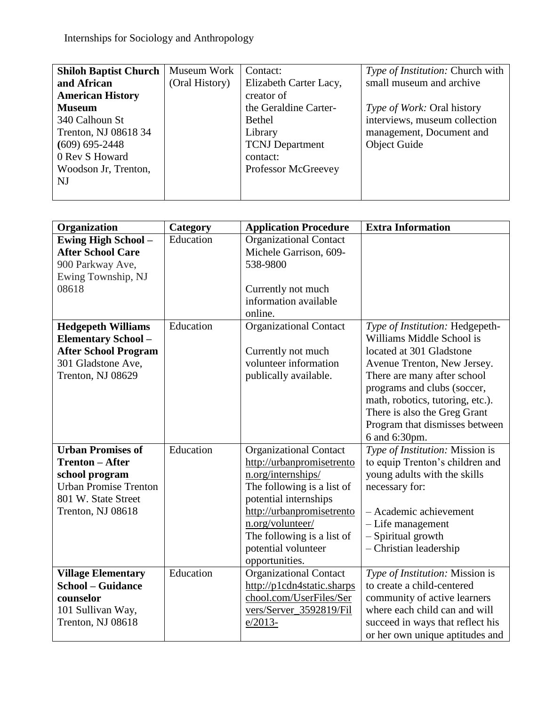| <b>Shiloh Baptist Church</b> | Museum Work    | Contact:               | <i>Type of Institution:</i> Church with |
|------------------------------|----------------|------------------------|-----------------------------------------|
| and African                  | (Oral History) | Elizabeth Carter Lacy, | small museum and archive                |
| <b>American History</b>      |                | creator of             |                                         |
| <b>Museum</b>                |                | the Geraldine Carter-  | <i>Type of Work:</i> Oral history       |
| 340 Calhoun St               |                | <b>Bethel</b>          | interviews, museum collection           |
| Trenton, NJ 08618 34         |                | Library                | management, Document and                |
| $(609)$ 695-2448             |                | <b>TCNJ</b> Department | <b>Object Guide</b>                     |
| 0 Rev S Howard               |                | contact:               |                                         |
| Woodson Jr, Trenton,         |                | Professor McGreevey    |                                         |
| NJ                           |                |                        |                                         |
|                              |                |                        |                                         |

| Organization                 | Category  | <b>Application Procedure</b>  | <b>Extra Information</b>         |
|------------------------------|-----------|-------------------------------|----------------------------------|
| <b>Ewing High School -</b>   | Education | <b>Organizational Contact</b> |                                  |
| <b>After School Care</b>     |           | Michele Garrison, 609-        |                                  |
| 900 Parkway Ave,             |           | 538-9800                      |                                  |
| Ewing Township, NJ           |           |                               |                                  |
| 08618                        |           | Currently not much            |                                  |
|                              |           | information available         |                                  |
|                              |           | online.                       |                                  |
| <b>Hedgepeth Williams</b>    | Education | <b>Organizational Contact</b> | Type of Institution: Hedgepeth-  |
| <b>Elementary School -</b>   |           |                               | Williams Middle School is        |
| <b>After School Program</b>  |           | Currently not much            | located at 301 Gladstone         |
| 301 Gladstone Ave,           |           | volunteer information         | Avenue Trenton, New Jersey.      |
| Trenton, NJ 08629            |           | publically available.         | There are many after school      |
|                              |           |                               | programs and clubs (soccer,      |
|                              |           |                               | math, robotics, tutoring, etc.). |
|                              |           |                               | There is also the Greg Grant     |
|                              |           |                               | Program that dismisses between   |
|                              |           |                               | 6 and 6:30pm.                    |
| <b>Urban Promises of</b>     | Education | <b>Organizational Contact</b> | Type of Institution: Mission is  |
| <b>Trenton – After</b>       |           | http://urbanpromisetrento     | to equip Trenton's children and  |
| school program               |           | n.org/internships/            | young adults with the skills     |
| <b>Urban Promise Trenton</b> |           | The following is a list of    | necessary for:                   |
| 801 W. State Street          |           | potential internships         |                                  |
| Trenton, NJ 08618            |           | http://urbanpromisetrento     | - Academic achievement           |
|                              |           | n.org/volunteer/              | - Life management                |
|                              |           | The following is a list of    | - Spiritual growth               |
|                              |           | potential volunteer           | - Christian leadership           |
|                              |           | opportunities.                |                                  |
| <b>Village Elementary</b>    | Education | <b>Organizational Contact</b> | Type of Institution: Mission is  |
| <b>School – Guidance</b>     |           | http://p1cdn4static.sharps    | to create a child-centered       |
| counselor                    |           | chool.com/UserFiles/Ser       | community of active learners     |
| 101 Sullivan Way,            |           | vers/Server_3592819/Fil       | where each child can and will    |
| Trenton, NJ 08618            |           | $e/2013-$                     | succeed in ways that reflect his |
|                              |           |                               | or her own unique aptitudes and  |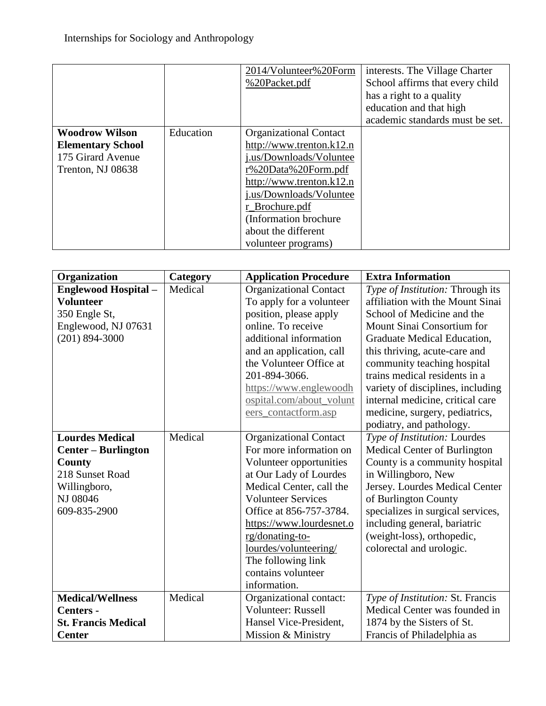|                                                                                             |           | 2014/Volunteer%20Form<br>%20Packet.pdf                                                                                                                                                                                                                             | interests. The Village Charter<br>School affirms that every child<br>has a right to a quality<br>education and that high<br>academic standards must be set. |
|---------------------------------------------------------------------------------------------|-----------|--------------------------------------------------------------------------------------------------------------------------------------------------------------------------------------------------------------------------------------------------------------------|-------------------------------------------------------------------------------------------------------------------------------------------------------------|
| <b>Woodrow Wilson</b><br><b>Elementary School</b><br>175 Girard Avenue<br>Trenton, NJ 08638 | Education | <b>Organizational Contact</b><br>http://www.trenton. $k12.n$<br>j.us/Downloads/Voluntee<br>r%20Data%20Form.pdf<br>http://www.trenton. $k12.n$<br>j.us/Downloads/Voluntee<br>r_Brochure.pdf<br>(Information brochure)<br>about the different<br>volunteer programs) |                                                                                                                                                             |

| Organization               | Category | <b>Application Procedure</b>  | <b>Extra Information</b>          |
|----------------------------|----------|-------------------------------|-----------------------------------|
| <b>Englewood Hospital-</b> | Medical  | <b>Organizational Contact</b> | Type of Institution: Through its  |
| <b>Volunteer</b>           |          | To apply for a volunteer      | affiliation with the Mount Sinai  |
| 350 Engle St,              |          | position, please apply        | School of Medicine and the        |
| Englewood, NJ 07631        |          | online. To receive            | Mount Sinai Consortium for        |
| $(201)$ 894-3000           |          | additional information        | Graduate Medical Education,       |
|                            |          | and an application, call      | this thriving, acute-care and     |
|                            |          | the Volunteer Office at       | community teaching hospital       |
|                            |          | 201-894-3066.                 | trains medical residents in a     |
|                            |          | https://www.englewoodh        | variety of disciplines, including |
|                            |          | ospital.com/about_volunt      | internal medicine, critical care  |
|                            |          | eers_contactform.asp          | medicine, surgery, pediatrics,    |
|                            |          |                               | podiatry, and pathology.          |
| <b>Lourdes Medical</b>     | Medical  | <b>Organizational Contact</b> | Type of Institution: Lourdes      |
| <b>Center - Burlington</b> |          | For more information on       | Medical Center of Burlington      |
| County                     |          | Volunteer opportunities       | County is a community hospital    |
| 218 Sunset Road            |          | at Our Lady of Lourdes        | in Willingboro, New               |
| Willingboro,               |          | Medical Center, call the      | Jersey. Lourdes Medical Center    |
| NJ 08046                   |          | <b>Volunteer Services</b>     | of Burlington County              |
| 609-835-2900               |          | Office at 856-757-3784.       | specializes in surgical services, |
|                            |          | https://www.lourdesnet.o      | including general, bariatric      |
|                            |          | rg/donating-to-               | (weight-loss), orthopedic,        |
|                            |          | lourdes/volunteering/         | colorectal and urologic.          |
|                            |          | The following link            |                                   |
|                            |          | contains volunteer            |                                   |
|                            |          | information.                  |                                   |
| <b>Medical/Wellness</b>    | Medical  | Organizational contact:       | Type of Institution: St. Francis  |
| Centers -                  |          | Volunteer: Russell            | Medical Center was founded in     |
| <b>St. Francis Medical</b> |          | Hansel Vice-President,        | 1874 by the Sisters of St.        |
| <b>Center</b>              |          | Mission & Ministry            | Francis of Philadelphia as        |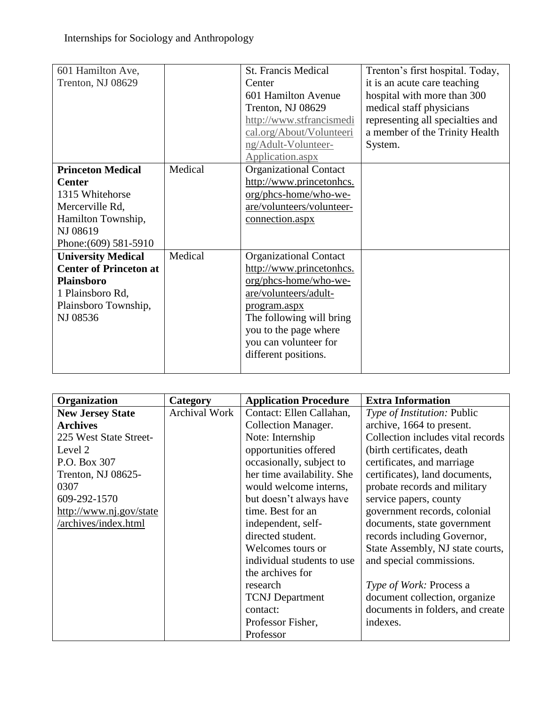| 601 Hamilton Ave,<br>Trenton, NJ 08629                                                                                                                                                                                                                                                |                    | <b>St. Francis Medical</b><br>Center<br>601 Hamilton Avenue<br>Trenton, NJ 08629<br>http://www.stfrancismedi<br>cal.org/About/Volunteeri                                                                                                                                                                                                                                | Trenton's first hospital. Today,<br>it is an acute care teaching<br>hospital with more than 300<br>medical staff physicians<br>representing all specialties and<br>a member of the Trinity Health |
|---------------------------------------------------------------------------------------------------------------------------------------------------------------------------------------------------------------------------------------------------------------------------------------|--------------------|-------------------------------------------------------------------------------------------------------------------------------------------------------------------------------------------------------------------------------------------------------------------------------------------------------------------------------------------------------------------------|---------------------------------------------------------------------------------------------------------------------------------------------------------------------------------------------------|
|                                                                                                                                                                                                                                                                                       |                    | ng/Adult-Volunteer-<br>Application.aspx                                                                                                                                                                                                                                                                                                                                 | System.                                                                                                                                                                                           |
| <b>Princeton Medical</b><br><b>Center</b><br>1315 Whitehorse<br>Mercerville Rd,<br>Hamilton Township,<br>NJ 08619<br>Phone: (609) 581-5910<br><b>University Medical</b><br><b>Center of Princeton at</b><br><b>Plainsboro</b><br>1 Plainsboro Rd,<br>Plainsboro Township,<br>NJ 08536 | Medical<br>Medical | <b>Organizational Contact</b><br>http://www.princetonhcs.<br>org/phcs-home/who-we-<br>are/volunteers/volunteer-<br>connection.aspx<br><b>Organizational Contact</b><br>http://www.princetonhcs.<br>org/phcs-home/who-we-<br>are/volunteers/adult-<br>program.aspx<br>The following will bring<br>you to the page where<br>you can volunteer for<br>different positions. |                                                                                                                                                                                                   |

| Organization            | Category             | <b>Application Procedure</b> | <b>Extra Information</b>           |
|-------------------------|----------------------|------------------------------|------------------------------------|
| <b>New Jersey State</b> | <b>Archival Work</b> | Contact: Ellen Callahan,     | <i>Type of Institution: Public</i> |
| <b>Archives</b>         |                      | <b>Collection Manager.</b>   | archive, 1664 to present.          |
| 225 West State Street-  |                      | Note: Internship             | Collection includes vital records  |
| Level 2                 |                      | opportunities offered        | (birth certificates, death)        |
| P.O. Box 307            |                      | occasionally, subject to     | certificates, and marriage         |
| Trenton, NJ 08625-      |                      | her time availability. She   | certificates), land documents,     |
| 0307                    |                      | would welcome interns,       | probate records and military       |
| 609-292-1570            |                      | but doesn't always have      | service papers, county             |
| http://www.nj.gov/state |                      | time. Best for an            | government records, colonial       |
| /archives/index.html    |                      | independent, self-           | documents, state government        |
|                         |                      | directed student.            | records including Governor,        |
|                         |                      | Welcomes tours or            | State Assembly, NJ state courts,   |
|                         |                      | individual students to use   | and special commissions.           |
|                         |                      | the archives for             |                                    |
|                         |                      | research                     | Type of Work: Process a            |
|                         |                      | <b>TCNJ</b> Department       | document collection, organize      |
|                         |                      | contact:                     | documents in folders, and create   |
|                         |                      | Professor Fisher,            | indexes.                           |
|                         |                      | Professor                    |                                    |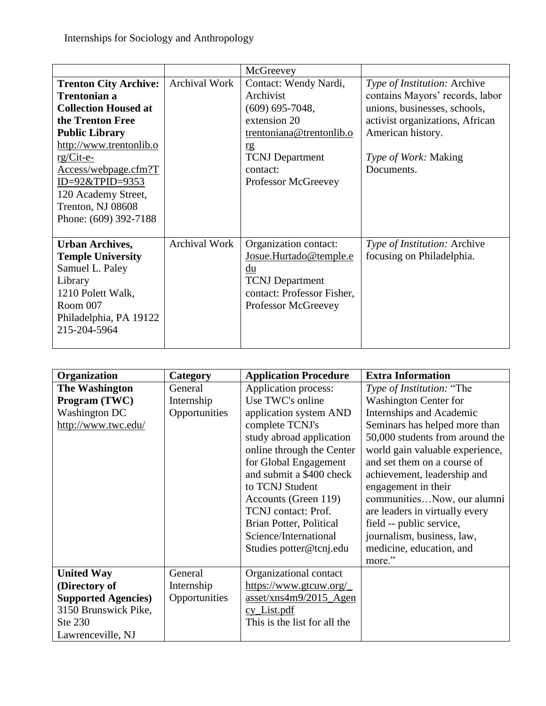|                              |                      | McGreevey                  |                                 |
|------------------------------|----------------------|----------------------------|---------------------------------|
| <b>Trenton City Archive:</b> | <b>Archival Work</b> | Contact: Wendy Nardi,      | Type of Institution: Archive    |
| <b>Trentonian a</b>          |                      | Archivist                  | contains Mayors' records, labor |
| <b>Collection Housed at</b>  |                      | $(609)$ 695-7048,          | unions, businesses, schools,    |
| the Trenton Free             |                      | extension 20               | activist organizations, African |
| <b>Public Library</b>        |                      | trentoniana@trentonlib.o   | American history.               |
| http://www.trentonlib.o      |                      | rg                         |                                 |
| rg/Cit-e-                    |                      | <b>TCNJ</b> Department     | <i>Type of Work:</i> Making     |
| Access/webpage.cfm?T         |                      | contact:                   | Documents.                      |
| $ID=92&TPID=9353$            |                      | Professor McGreevey        |                                 |
| 120 Academy Street,          |                      |                            |                                 |
| Trenton, NJ 08608            |                      |                            |                                 |
| Phone: (609) 392-7188        |                      |                            |                                 |
|                              |                      |                            |                                 |
| <b>Urban Archives,</b>       | Archival Work        | Organization contact:      | Type of Institution: Archive    |
| <b>Temple University</b>     |                      | Josue.Hurtado@temple.e     | focusing on Philadelphia.       |
| Samuel L. Paley              |                      | $du$                       |                                 |
| Library                      |                      | <b>TCNJ</b> Department     |                                 |
| 1210 Polett Walk,            |                      | contact: Professor Fisher, |                                 |
| Room 007                     |                      | Professor McGreevey        |                                 |
| Philadelphia, PA 19122       |                      |                            |                                 |
| 215-204-5964                 |                      |                            |                                 |
|                              |                      |                            |                                 |

| Organization                | Category      | <b>Application Procedure</b>     | <b>Extra Information</b>        |
|-----------------------------|---------------|----------------------------------|---------------------------------|
| <b>The Washington</b>       | General       | Application process:             | Type of Institution: "The       |
| Program (TWC)               | Internship    | Use TWC's online                 | <b>Washington Center for</b>    |
| <b>Washington DC</b>        | Opportunities | application system AND           | Internships and Academic        |
| http://www.twc.edu/         |               | complete TCNJ's                  | Seminars has helped more than   |
|                             |               | study abroad application         | 50,000 students from around the |
|                             |               | online through the Center        | world gain valuable experience, |
|                             |               | for Global Engagement            | and set them on a course of     |
|                             |               | and submit a \$400 check         | achievement, leadership and     |
|                             |               | to TCNJ Student                  | engagement in their             |
|                             |               | Accounts (Green 119)             | communitiesNow, our alumni      |
|                             |               | TCNJ contact: Prof.              | are leaders in virtually every  |
|                             |               | Brian Potter, Political          | field -- public service,        |
|                             |               | Science/International            | journalism, business, law,      |
|                             |               | Studies potter@tcnj.edu          | medicine, education, and        |
|                             |               |                                  | more."                          |
| <b>United Way</b>           | General       | Organizational contact           |                                 |
| (Directory of               | Internship    | https://www.gtcuw.org/           |                                 |
| <b>Supported Agencies</b> ) | Opportunities | $\frac{asset}{xns4m9/2015}$ Agen |                                 |
| 3150 Brunswick Pike,        |               | cy_List.pdf                      |                                 |
| Ste 230                     |               | This is the list for all the     |                                 |
| Lawrenceville, NJ           |               |                                  |                                 |